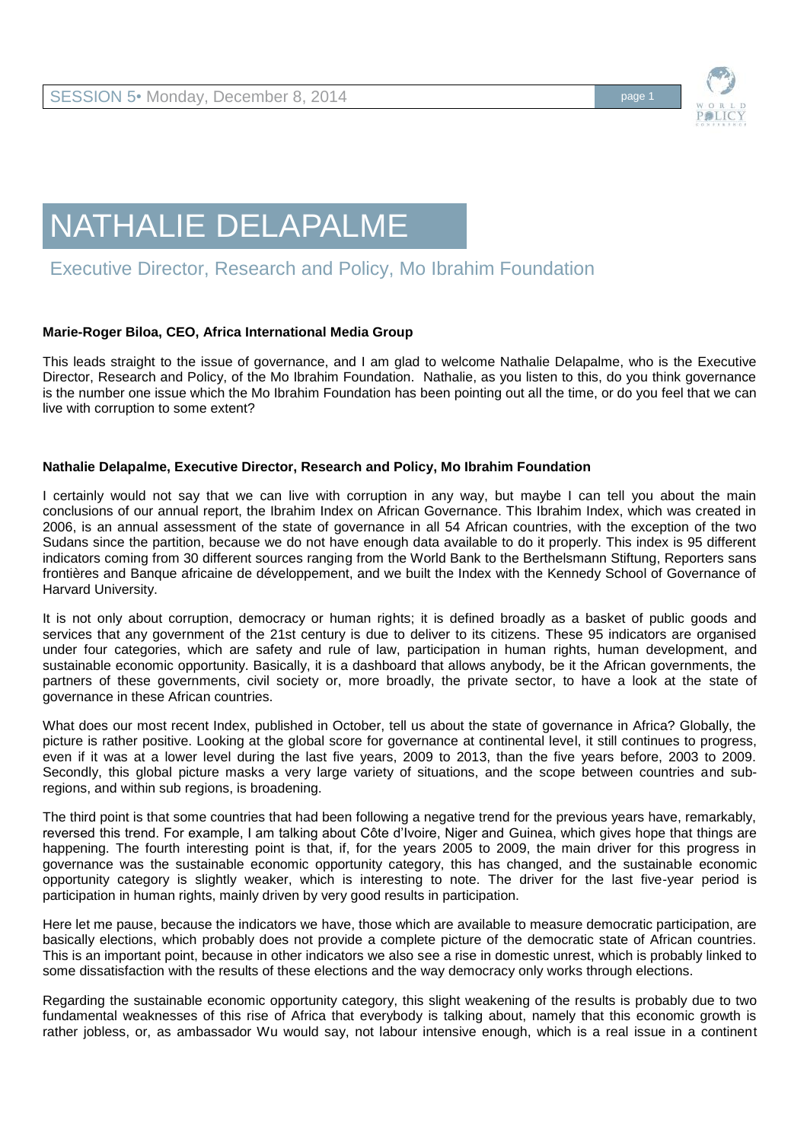

## NATHALIE DELAPALME

## Executive Director, Research and Policy, Mo Ibrahim Foundation

## **Marie-Roger Biloa, CEO, Africa International Media Group**

This leads straight to the issue of governance, and I am glad to welcome Nathalie Delapalme, who is the Executive Director, Research and Policy, of the Mo Ibrahim Foundation. Nathalie, as you listen to this, do you think governance is the number one issue which the Mo Ibrahim Foundation has been pointing out all the time, or do you feel that we can live with corruption to some extent?

## **Nathalie Delapalme, Executive Director, Research and Policy, Mo Ibrahim Foundation**

I certainly would not say that we can live with corruption in any way, but maybe I can tell you about the main conclusions of our annual report, the Ibrahim Index on African Governance. This Ibrahim Index, which was created in 2006, is an annual assessment of the state of governance in all 54 African countries, with the exception of the two Sudans since the partition, because we do not have enough data available to do it properly. This index is 95 different indicators coming from 30 different sources ranging from the World Bank to the Berthelsmann Stiftung, Reporters sans frontières and Banque africaine de développement, and we built the Index with the Kennedy School of Governance of Harvard University.

It is not only about corruption, democracy or human rights; it is defined broadly as a basket of public goods and services that any government of the 21st century is due to deliver to its citizens. These 95 indicators are organised under four categories, which are safety and rule of law, participation in human rights, human development, and sustainable economic opportunity. Basically, it is a dashboard that allows anybody, be it the African governments, the partners of these governments, civil society or, more broadly, the private sector, to have a look at the state of governance in these African countries.

What does our most recent Index, published in October, tell us about the state of governance in Africa? Globally, the picture is rather positive. Looking at the global score for governance at continental level, it still continues to progress, even if it was at a lower level during the last five years, 2009 to 2013, than the five years before, 2003 to 2009. Secondly, this global picture masks a very large variety of situations, and the scope between countries and subregions, and within sub regions, is broadening.

The third point is that some countries that had been following a negative trend for the previous years have, remarkably, reversed this trend. For example, I am talking about Côte d'Ivoire, Niger and Guinea, which gives hope that things are happening. The fourth interesting point is that, if, for the years 2005 to 2009, the main driver for this progress in governance was the sustainable economic opportunity category, this has changed, and the sustainable economic opportunity category is slightly weaker, which is interesting to note. The driver for the last five-year period is participation in human rights, mainly driven by very good results in participation.

Here let me pause, because the indicators we have, those which are available to measure democratic participation, are basically elections, which probably does not provide a complete picture of the democratic state of African countries. This is an important point, because in other indicators we also see a rise in domestic unrest, which is probably linked to some dissatisfaction with the results of these elections and the way democracy only works through elections.

Regarding the sustainable economic opportunity category, this slight weakening of the results is probably due to two fundamental weaknesses of this rise of Africa that everybody is talking about, namely that this economic growth is rather jobless, or, as ambassador Wu would say, not labour intensive enough, which is a real issue in a continent